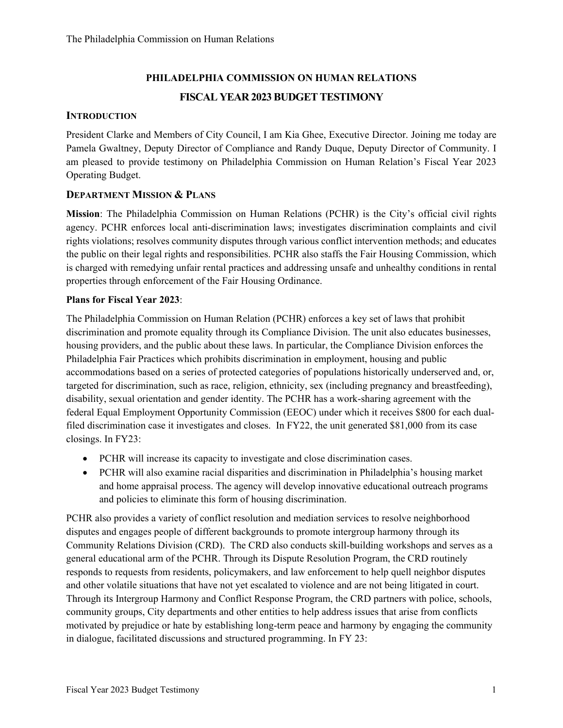# **PHILADELPHIA COMMISSION ON HUMAN RELATIONS FISCAL YEAR 2023 BUDGET TESTIMONY**

## **INTRODUCTION**

President Clarke and Members of City Council, I am Kia Ghee, Executive Director. Joining me today are Pamela Gwaltney, Deputy Director of Compliance and Randy Duque, Deputy Director of Community. I am pleased to provide testimony on Philadelphia Commission on Human Relation's Fiscal Year 2023 Operating Budget.

## **DEPARTMENT MISSION & PLANS**

**Mission**: The Philadelphia Commission on Human Relations (PCHR) is the City's official civil rights agency. PCHR enforces local anti-discrimination laws; investigates discrimination complaints and civil rights violations; resolves community disputes through various conflict intervention methods; and educates the public on their legal rights and responsibilities. PCHR also staffs the Fair Housing Commission, which is charged with remedying unfair rental practices and addressing unsafe and unhealthy conditions in rental properties through enforcement of the Fair Housing Ordinance.

### **Plans for Fiscal Year 2023**:

The Philadelphia Commission on Human Relation (PCHR) enforces a key set of laws that prohibit discrimination and promote equality through its Compliance Division. The unit also educates businesses, housing providers, and the public about these laws. In particular, the Compliance Division enforces the Philadelphia Fair Practices which prohibits discrimination in employment, housing and public accommodations based on a series of protected categories of populations historically underserved and, or, targeted for discrimination, such as race, religion, ethnicity, sex (including pregnancy and breastfeeding), disability, sexual orientation and gender identity. The PCHR has a work-sharing agreement with the federal Equal Employment Opportunity Commission (EEOC) under which it receives \$800 for each dualfiled discrimination case it investigates and closes. In FY22, the unit generated \$81,000 from its case closings. In FY23:

- PCHR will increase its capacity to investigate and close discrimination cases.
- PCHR will also examine racial disparities and discrimination in Philadelphia's housing market and home appraisal process. The agency will develop innovative educational outreach programs and policies to eliminate this form of housing discrimination.

PCHR also provides a variety of conflict resolution and mediation services to resolve neighborhood disputes and engages people of different backgrounds to promote intergroup harmony through its Community Relations Division (CRD). The CRD also conducts skill-building workshops and serves as a general educational arm of the PCHR. Through its Dispute Resolution Program, the CRD routinely responds to requests from residents, policymakers, and law enforcement to help quell neighbor disputes and other volatile situations that have not yet escalated to violence and are not being litigated in court. Through its Intergroup Harmony and Conflict Response Program, the CRD partners with police, schools, community groups, City departments and other entities to help address issues that arise from conflicts motivated by prejudice or hate by establishing long-term peace and harmony by engaging the community in dialogue, facilitated discussions and structured programming. In FY 23: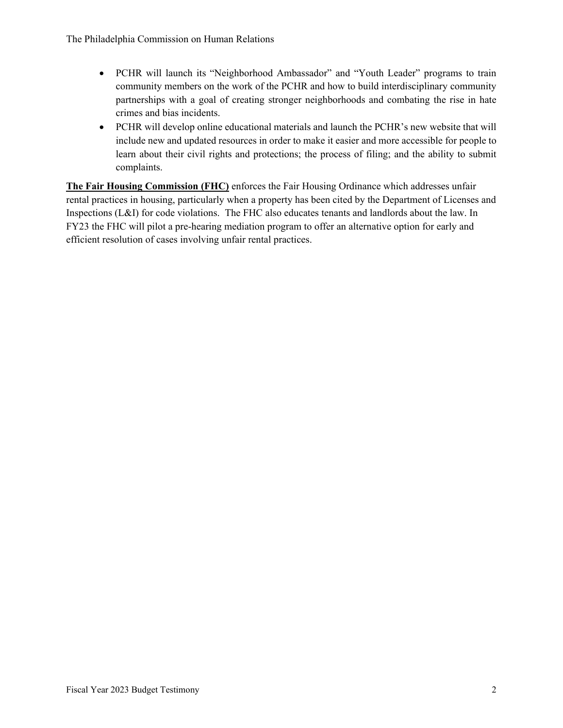- PCHR will launch its "Neighborhood Ambassador" and "Youth Leader" programs to train community members on the work of the PCHR and how to build interdisciplinary community partnerships with a goal of creating stronger neighborhoods and combating the rise in hate crimes and bias incidents.
- PCHR will develop online educational materials and launch the PCHR's new website that will include new and updated resources in order to make it easier and more accessible for people to learn about their civil rights and protections; the process of filing; and the ability to submit complaints.

**The Fair Housing Commission (FHC)** enforces the Fair Housing Ordinance which addresses unfair rental practices in housing, particularly when a property has been cited by the Department of Licenses and Inspections (L&I) for code violations. The FHC also educates tenants and landlords about the law. In FY23 the FHC will pilot a pre-hearing mediation program to offer an alternative option for early and efficient resolution of cases involving unfair rental practices.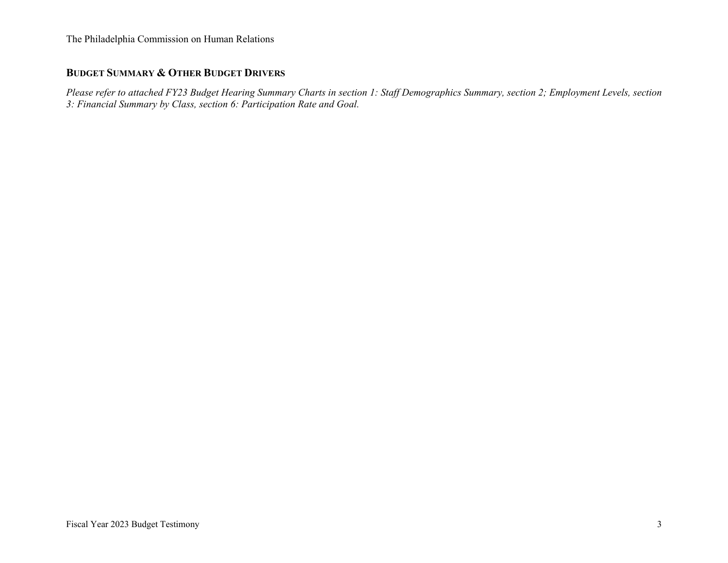# **BUDGET SUMMARY & OTHER BUDGET DRIVERS**

*Please refer to attached FY23 Budget Hearing Summary Charts in section 1: Staff Demographics Summary, section 2; Employment Levels, section 3: Financial Summary by Class, section 6: Participation Rate and Goal.*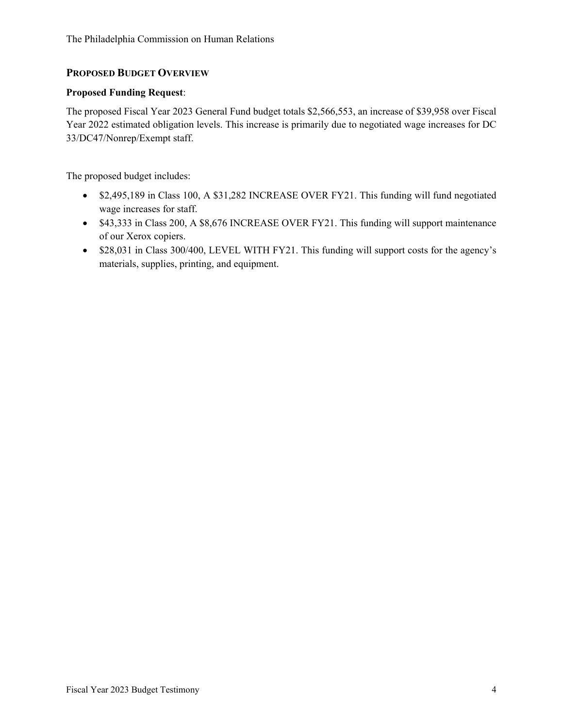# **PROPOSED BUDGET OVERVIEW**

### **Proposed Funding Request**:

The proposed Fiscal Year 2023 General Fund budget totals \$2,566,553, an increase of \$39,958 over Fiscal Year 2022 estimated obligation levels. This increase is primarily due to negotiated wage increases for DC 33/DC47/Nonrep/Exempt staff.

The proposed budget includes:

- \$2,495,189 in Class 100, A \$31,282 INCREASE OVER FY21. This funding will fund negotiated wage increases for staff.
- \$43,333 in Class 200, A \$8,676 INCREASE OVER FY21. This funding will support maintenance of our Xerox copiers.
- \$28,031 in Class 300/400, LEVEL WITH FY21. This funding will support costs for the agency's materials, supplies, printing, and equipment.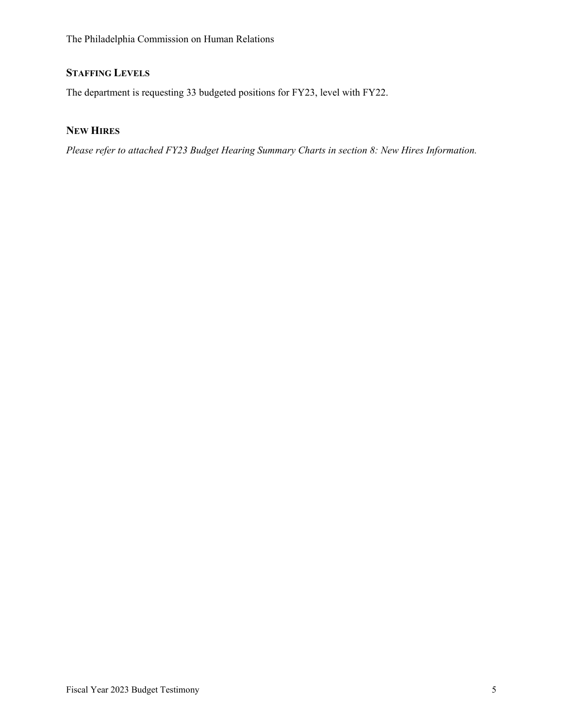# **STAFFING LEVELS**

The department is requesting 33 budgeted positions for FY23, level with FY22.

# **NEW HIRES**

*Please refer to attached FY23 Budget Hearing Summary Charts in section 8: New Hires Information.*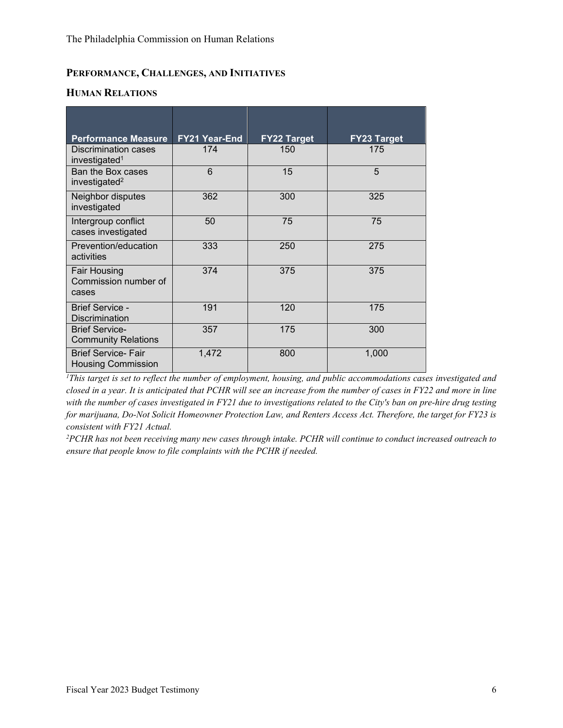# **PERFORMANCE, CHALLENGES, AND INITIATIVES**

### **HUMAN RELATIONS**

| <b>Performance Measure</b>                             | FY21 Year-End | <b>FY22 Target</b> | <b>FY23 Target</b> |
|--------------------------------------------------------|---------------|--------------------|--------------------|
| Discrimination cases<br>investigated <sup>1</sup>      | 174           | 150                | 175                |
| Ban the Box cases<br>investigated <sup>2</sup>         | 6             | 15                 | 5                  |
| Neighbor disputes<br>investigated                      | 362           | 300                | 325                |
| Intergroup conflict<br>cases investigated              | 50            | 75                 | 75                 |
| Prevention/education<br>activities                     | 333           | 250                | 275                |
| <b>Fair Housing</b><br>Commission number of<br>cases   | 374           | 375                | 375                |
| <b>Brief Service -</b><br><b>Discrimination</b>        | 191           | 120                | 175                |
| <b>Brief Service-</b><br><b>Community Relations</b>    | 357           | 175                | 300                |
| <b>Brief Service-Fair</b><br><b>Housing Commission</b> | 1,472         | 800                | 1,000              |

*<sup>1</sup>This target is set to reflect the number of employment, housing, and public accommodations cases investigated and closed in a year. It is anticipated that PCHR will see an increase from the number of cases in FY22 and more in line with the number of cases investigated in FY21 due to investigations related to the City's ban on pre-hire drug testing for marijuana, Do-Not Solicit Homeowner Protection Law, and Renters Access Act. Therefore, the target for FY23 is consistent with FY21 Actual.* 

*<sup>2</sup>PCHR has not been receiving many new cases through intake. PCHR will continue to conduct increased outreach to ensure that people know to file complaints with the PCHR if needed.*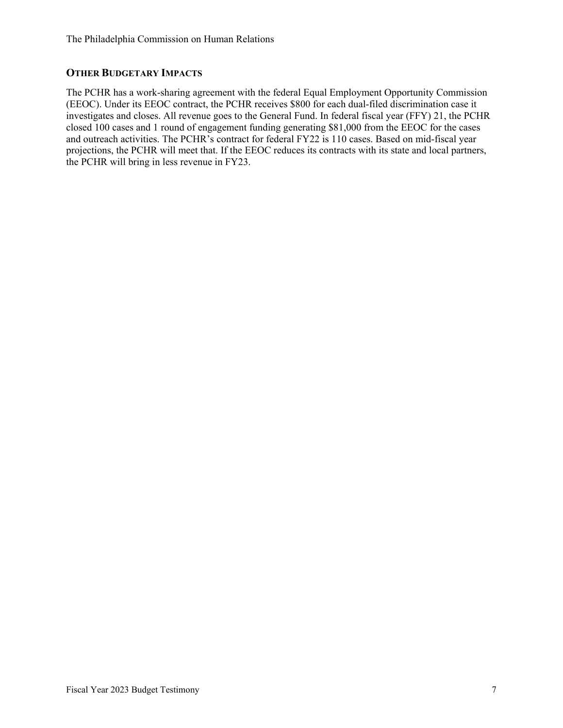# **OTHER BUDGETARY IMPACTS**

The PCHR has a work-sharing agreement with the federal Equal Employment Opportunity Commission (EEOC). Under its EEOC contract, the PCHR receives \$800 for each dual-filed discrimination case it investigates and closes. All revenue goes to the General Fund. In federal fiscal year (FFY) 21, the PCHR closed 100 cases and 1 round of engagement funding generating \$81,000 from the EEOC for the cases and outreach activities. The PCHR's contract for federal FY22 is 110 cases. Based on mid-fiscal year projections, the PCHR will meet that. If the EEOC reduces its contracts with its state and local partners, the PCHR will bring in less revenue in FY23.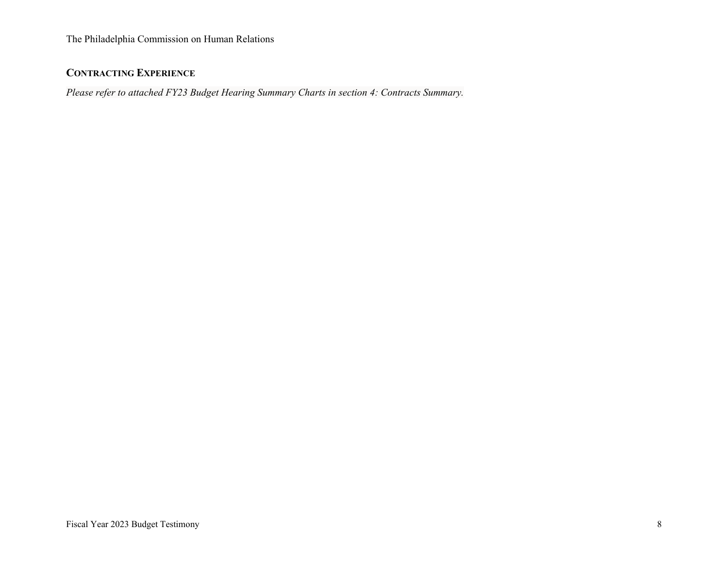# **CONTRACTING EXPERIENCE**

*Please refer to attached FY23 Budget Hearing Summary Charts in section 4: Contracts Summary.*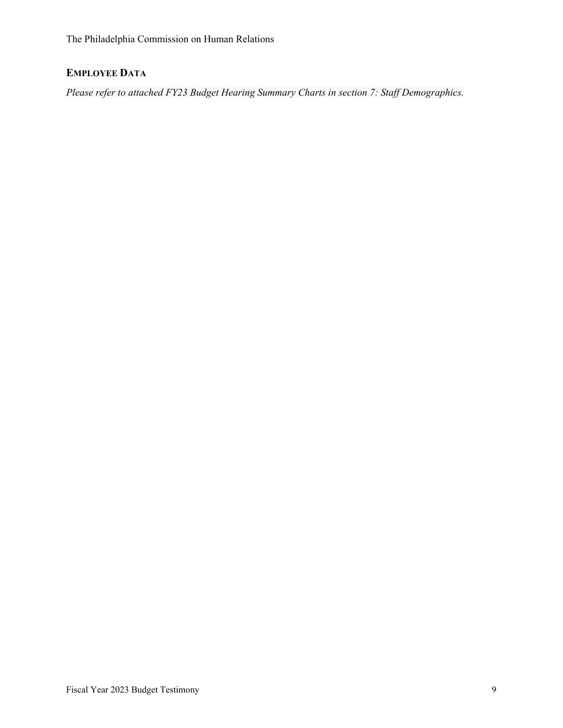# **EMPLOYEE DATA**

*Please refer to attached FY23 Budget Hearing Summary Charts in section 7: Staff Demographics.*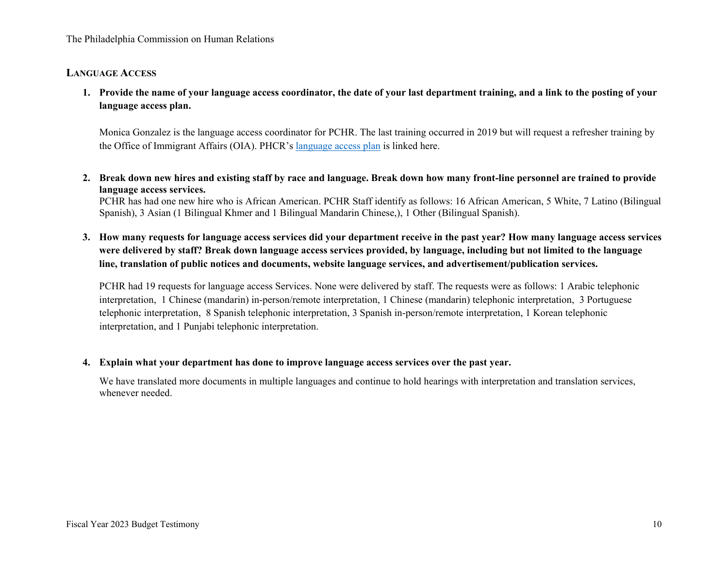### **LANGUAGE ACCESS**

**1. Provide the name of your language access coordinator, the date of your last department training, and a link to the posting of your language access plan.**

Monica Gonzalez is the language access coordinator for PCHR. The last training occurred in 2019 but will request a refresher training by the Office of Immigrant Affairs (OIA). PHCR's [language access plan](https://www.phila.gov/media/20170602143331/Philadelphia-Commission-on-Human-Relations-LAP-2017.pdf) is linked here.

**2. Break down new hires and existing staff by race and language. Break down how many front-line personnel are trained to provide language access services.**

PCHR has had one new hire who is African American. PCHR Staff identify as follows: 16 African American, 5 White, 7 Latino (Bilingual Spanish), 3 Asian (1 Bilingual Khmer and 1 Bilingual Mandarin Chinese,), 1 Other (Bilingual Spanish).

**3. How many requests for language access services did your department receive in the past year? How many language access services were delivered by staff? Break down language access services provided, by language, including but not limited to the language line, translation of public notices and documents, website language services, and advertisement/publication services.**

PCHR had 19 requests for language access Services. None were delivered by staff. The requests were as follows: 1 Arabic telephonic interpretation, 1 Chinese (mandarin) in-person/remote interpretation, 1 Chinese (mandarin) telephonic interpretation, 3 Portuguese telephonic interpretation, 8 Spanish telephonic interpretation, 3 Spanish in-person/remote interpretation, 1 Korean telephonic interpretation, and 1 Punjabi telephonic interpretation.

### **4. Explain what your department has done to improve language access services over the past year.**

We have translated more documents in multiple languages and continue to hold hearings with interpretation and translation services, whenever needed.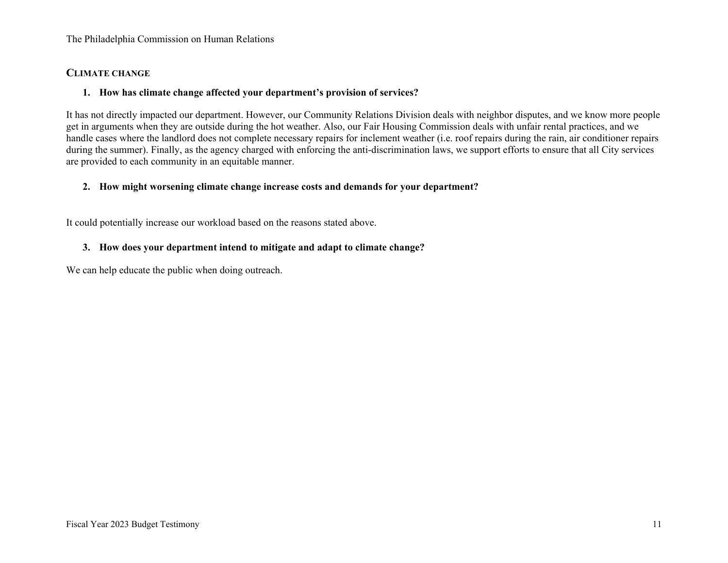#### **CLIMATE CHANGE**

### **1. How has climate change affected your department's provision of services?**

It has not directly impacted our department. However, our Community Relations Division deals with neighbor disputes, and we know more people get in arguments when they are outside during the hot weather. Also, our Fair Housing Commission deals with unfair rental practices, and we handle cases where the landlord does not complete necessary repairs for inclement weather (i.e. roof repairs during the rain, air conditioner repairs during the summer). Finally, as the agency charged with enforcing the anti-discrimination laws, we support efforts to ensure that all City services are provided to each community in an equitable manner.

### **2. How might worsening climate change increase costs and demands for your department?**

It could potentially increase our workload based on the reasons stated above.

### **3. How does your department intend to mitigate and adapt to climate change?**

We can help educate the public when doing outreach.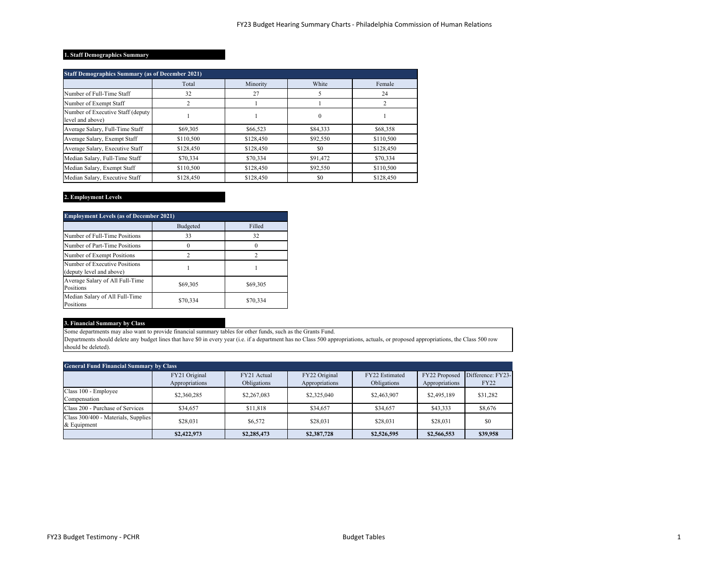#### **1. Staff Demographics Summary**

| <b>Staff Demographics Summary (as of December 2021)</b> |           |           |          |           |  |
|---------------------------------------------------------|-----------|-----------|----------|-----------|--|
|                                                         | Total     | Minority  | White    | Female    |  |
| Number of Full-Time Staff                               | 32        | 27        |          | 24        |  |
| Number of Exempt Staff                                  | 2         |           |          |           |  |
| Number of Executive Staff (deputy<br>level and above)   |           |           | $\bf{0}$ |           |  |
| Average Salary, Full-Time Staff                         | \$69,305  | \$66,523  | \$84,333 | \$68,358  |  |
| Average Salary, Exempt Staff                            | \$110,500 | \$128,450 | \$92,550 | \$110,500 |  |
| Average Salary, Executive Staff                         | \$128,450 | \$128,450 | \$0      | \$128,450 |  |
| Median Salary, Full-Time Staff                          | \$70,334  | \$70,334  | \$91,472 | \$70,334  |  |
| Median Salary, Exempt Staff                             | \$110,500 | \$128,450 | \$92,550 | \$110,500 |  |
| Median Salary, Executive Staff                          | \$128,450 | \$128,450 | \$0      | \$128,450 |  |

#### **2. Employment Levels**

| <b>Employment Levels (as of December 2021)</b>            |          |          |  |  |
|-----------------------------------------------------------|----------|----------|--|--|
|                                                           | Budgeted | Filled   |  |  |
| Number of Full-Time Positions                             | 33       | 32       |  |  |
| Number of Part-Time Positions                             |          |          |  |  |
| Number of Exempt Positions                                |          |          |  |  |
| Number of Executive Positions<br>(deputy level and above) |          |          |  |  |
| Average Salary of All Full-Time<br>Positions              | \$69,305 | \$69,305 |  |  |
| Median Salary of All Full-Time<br>Positions               | \$70,334 | \$70,334 |  |  |

#### **3. Financial Summary by Class**

Some departments may also want to provide financial summary tables for other funds, such as the Grants Fund.

Departments should delete any budget lines that have \$0 in every year (i.e. if a department has no Class 500 appropriations, actuals, or proposed appropriations, the Class 500 row should be deleted).

| <b>General Fund Financial Summary by Class</b>     |                                 |                            |                                 |                               |                                 |                                  |
|----------------------------------------------------|---------------------------------|----------------------------|---------------------------------|-------------------------------|---------------------------------|----------------------------------|
|                                                    | FY21 Original<br>Appropriations | FY21 Actual<br>Obligations | FY22 Original<br>Appropriations | FY22 Estimated<br>Obligations | FY22 Proposed<br>Appropriations | Difference: FY23-<br><b>FY22</b> |
| Class 100 - Employee<br>Compensation               | \$2,360,285                     | \$2,267,083                | \$2,325,040                     | \$2,463,907                   | \$2,495,189                     | \$31,282                         |
| Class 200 - Purchase of Services                   | \$34,657                        | \$11,818                   | \$34,657                        | \$34,657                      | \$43,333                        | \$8,676                          |
| Class 300/400 - Materials, Supplies<br>& Equipment | \$28,031                        | \$6,572                    | \$28,031                        | \$28,031                      | \$28,031                        | \$0                              |
|                                                    | \$2,422,973                     | \$2,285,473                | \$2,387,728                     | \$2,526,595                   | \$2,566,553                     | \$39,958                         |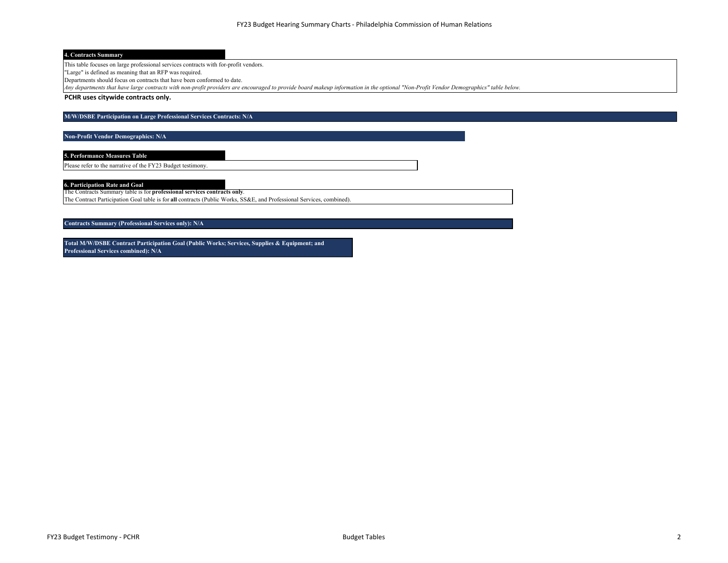#### **4. Contracts Summary**

This table focuses on large professional services contracts with for-profit vendors.

"Large" is defined as meaning that an RFP was required.

Departments should focus on contracts that have been conformed to date.

*Any departments that have large contracts with non-profit providers are encouraged to provide board makeup information in the optional "Non-Profit Vendor Demographics" table below.*

**PCHR uses citywide contracts only.**

#### **M/W/DSBE Participation on Large Professional Services Contracts: N/A**

**Non-Profit Vendor Demographics: N/A**

**5. Performance Measures Table**

Please refer to the narrative of the FY23 Budget testimony.

**6. Participation Rate and Goal**

The Contracts Summary table is for **professional services contracts only**.

The Contract Participation Goal table is for **all** contracts (Public Works, SS&E, and Professional Services, combined).

**Contracts Summary (Professional Services only): N/A**

**Total M/W/DSBE Contract Participation Goal (Public Works; Services, Supplies & Equipment; and Professional Services combined): N/A**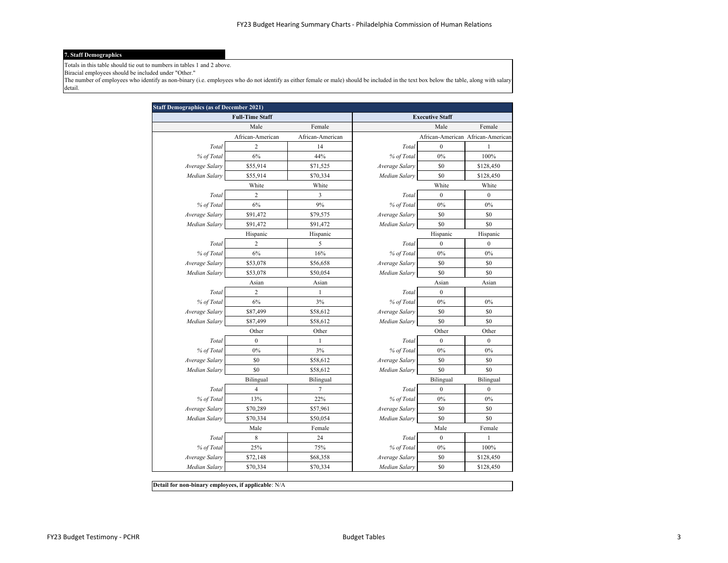#### **7. Staff Demographics**

Totals in this table should tie out to numbers in tables 1 and 2 above.

Biracial employees should be included under "Other."

The number of employees who identify as non-binary (i.e. employees who do not identify as either female or male) should be included in the text box below the table, along with salary detail.

|                | <b>Full-Time Staff</b> |                  |                | <b>Executive Staff</b>            |                  |
|----------------|------------------------|------------------|----------------|-----------------------------------|------------------|
|                | Male                   | Female           |                | Male                              | Female           |
|                | African-American       | African-American |                | African-American African-American |                  |
| Total          | 2                      | 14               | Total          | $\boldsymbol{0}$                  | 1                |
| % of Total     | 6%                     | 44%              | % of Total     | $0\%$                             | 100%             |
| Average Salary | \$55,914               | \$71,525         | Average Salary | \$0                               | \$128,450        |
| Median Salary  | \$55,914               | \$70,334         | Median Salary  | \$0                               | \$128,450        |
|                | White                  | White            |                | White                             | White            |
| Total          | $\overline{2}$         | 3                | Total          | $\boldsymbol{0}$                  | $\boldsymbol{0}$ |
| % of Total     | 6%                     | 9%               | % of Total     | 0%                                | 0%               |
| Average Salary | \$91,472               | \$79,575         | Average Salary | \$0                               | \$0              |
| Median Salary  | \$91,472               | \$91,472         | Median Salary  | \$0                               | \$0              |
|                | Hispanic               | Hispanic         |                | Hispanic                          | Hispanic         |
| Total          | 2                      | 5                | Total          | $\boldsymbol{0}$                  | $\boldsymbol{0}$ |
| % of Total     | 6%                     | 16%              | % of Total     | 0%                                | $0\%$            |
| Average Salary | \$53,078               | \$56,658         | Average Salary | \$0                               | \$0              |
| Median Salary  | \$53,078               | \$50,054         | Median Salary  | \$0                               | \$0              |
|                | Asian                  | Asian            |                | Asian                             | Asian            |
| Total          | $\overline{c}$         | $\mathbf{1}$     | Total          | $\mathbf{0}$                      |                  |
| % of Total     | 6%                     | 3%               | % of Total     | $0\%$                             | 0%               |
| Average Salary | \$87,499               | \$58,612         | Average Salary | \$0                               | \$0              |
| Median Salary  | \$87,499               | \$58,612         | Median Salary  | \$0                               | \$0              |
|                | Other                  | Other            |                | Other                             | Other            |
| Total          | $\boldsymbol{0}$       | $\mathbf{1}$     | Total          | $\boldsymbol{0}$                  | $\boldsymbol{0}$ |
| % of Total     | 0%                     | 3%               | % of Total     | $0\%$                             | $0\%$            |
| Average Salary | \$0                    | \$58,612         | Average Salary | \$0                               | \$0              |
| Median Salary  | \$0                    | \$58,612         | Median Salary  | \$0                               | \$0              |
|                | Bilingual              | Bilingual        |                | Bilingual                         | Bilingual        |
| Total          | 4                      | 7                | Total          | $\boldsymbol{0}$                  | $\boldsymbol{0}$ |
| % of Total     | 13%                    | 22%              | % of Total     | 0%                                | 0%               |
| Average Salary | \$70,289               | \$57,961         | Average Salary | \$0                               | \$0              |
| Median Salary  | \$70,334               | \$50,054         | Median Salary  | \$0                               | \$0              |
|                | Male                   | Female           |                | Male                              | Female           |
| Total          | 8                      | 24               | Total          | $\boldsymbol{0}$                  | 1                |
| % of Total     | 25%                    | 75%              | % of Total     | $0\%$                             | 100%             |
| Average Salary | \$72,148               | \$68,358         | Average Salary | \$0                               | \$128,450        |
| Median Salary  | \$70,334               | \$70,334         | Median Salary  | \$0                               | \$128,450        |